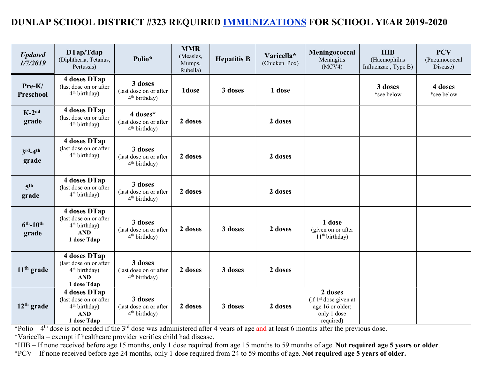## DUNLAP SCHOOL DISTRICT #323 REQUIRED IMMUNIZATIONS FOR SCHOOL YEAR 2019-2020

| <b>Updated</b><br>1/7/2019  | DTap/Tdap<br>(Diphtheria, Tetanus,<br>Pertussis)                                                 | Polio*                                                          | <b>MMR</b><br>(Measles,<br>Mumps,<br>Rubella) | <b>Hepatitis B</b> | Varicella*<br>(Chicken Pox) | Meningococcal<br>Meningitis<br>(MCV4)                                              | <b>HIB</b><br>(Haemophilus<br>Influenzae, Type B) | <b>PCV</b><br>(Pneumococcal<br>Disease) |
|-----------------------------|--------------------------------------------------------------------------------------------------|-----------------------------------------------------------------|-----------------------------------------------|--------------------|-----------------------------|------------------------------------------------------------------------------------|---------------------------------------------------|-----------------------------------------|
| Pre-K/<br><b>Preschool</b>  | 4 doses DTap<br>(last dose on or after<br>4 <sup>th</sup> birthday)                              | 3 doses<br>(last dose on or after<br>4 <sup>th</sup> birthday)  | 1dose                                         | 3 doses            | 1 dose                      |                                                                                    | 3 doses<br>*see below                             | 4 doses<br>*see below                   |
| $K-2^{nd}$<br>grade         | 4 doses DTap<br>(last dose on or after<br>$4th$ birthday)                                        | 4 doses*<br>(last dose on or after<br>4 <sup>th</sup> birthday) | 2 doses                                       |                    | 2 doses                     |                                                                                    |                                                   |                                         |
| $3rd-4th$<br>grade          | 4 doses DTap<br>(last dose on or after<br>4 <sup>th</sup> birthday)                              | 3 doses<br>(last dose on or after<br>4 <sup>th</sup> birthday)  | 2 doses                                       |                    | 2 doses                     |                                                                                    |                                                   |                                         |
| 5 <sup>th</sup><br>grade    | 4 doses DTap<br>(last dose on or after<br>4 <sup>th</sup> birthday)                              | 3 doses<br>(last dose on or after<br>4 <sup>th</sup> birthday)  | 2 doses                                       |                    | 2 doses                     |                                                                                    |                                                   |                                         |
| $6^{th} - 10^{th}$<br>grade | 4 doses DTap<br>(last dose on or after<br>4 <sup>th</sup> birthday)<br><b>AND</b><br>1 dose Tdap | 3 doses<br>(last dose on or after<br>4 <sup>th</sup> birthday)  | 2 doses                                       | 3 doses            | 2 doses                     | 1 dose<br>(given on or after<br>11 <sup>th</sup> birthday)                         |                                                   |                                         |
| $11th$ grade                | 4 doses DTap<br>(last dose on or after<br>4 <sup>th</sup> birthday)<br><b>AND</b><br>1 dose Tdap | 3 doses<br>(last dose on or after<br>4 <sup>th</sup> birthday)  | 2 doses                                       | 3 doses            | 2 doses                     |                                                                                    |                                                   |                                         |
| $12th$ grade                | 4 doses DTap<br>(last dose on or after<br>$4th$ birthday)<br><b>AND</b><br>1 dose Tdap           | 3 doses<br>(last dose on or after<br>4 <sup>th</sup> birthday)  | 2 doses                                       | 3 doses            | 2 doses                     | 2 doses<br>$(if 1st$ dose given at<br>age 16 or older;<br>only 1 dose<br>required) |                                                   |                                         |

\*Polio – 4<sup>th</sup> dose is not needed if the 3<sup>rd</sup> dose was administered after 4 years of age and at least 6 months after the previous dose.

\*Varicella – exempt if healthcare provider verifies child had disease.

\*HIB – If none received before age 15 months, only 1 dose required from age 15 months to 59 months of age. Not required age 5 years or older. \*PCV – If none received before age 24 months, only 1 dose required from 24 to 59 months of age. Not required age 5 years of older.